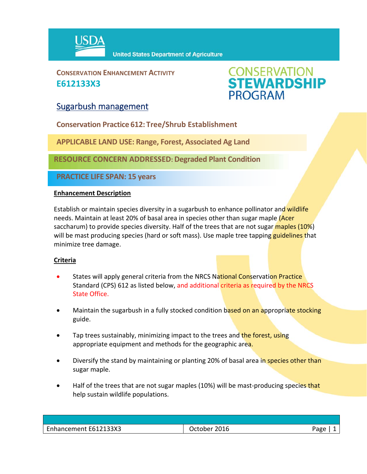

**CONSERVATION ENHANCEMENT ACTIVITY E612133X3**



## Sugarbush management

**Conservation Practice 612: Tree/Shrub Establishment**

**APPLICABLE LAND USE: Range, Forest, Associated Ag Land**

**RESOURCE CONCERN ADDRESSED: Degraded Plant Condition**

**PRACTICE LIFE SPAN: 15 years**

#### **Enhancement Description**

Establish or maintain species diversity in a sugarbush to enhance pollinator and wildlife needs. Maintain at least 20% of basal area in species other than sugar maple (Acer saccharum) to provide species diversity. Half of the trees that are not sugar maples (10%) will be mast producing species (hard or soft mass). Use maple tree tapping **guidelines t**hat minimize tree damage.

### **Criteria**

- States will apply general criteria from the NRCS National Conservation Practice Standard (CPS) 612 as listed below, and additional criteria as required by the NRCS State Office.
- Maintain the sugarbush in a fully stocked condition based on an appropriate stocking guide.
- Tap trees sustainably, minimizing impact to the trees and the forest, using appropriate equipment and methods for the geographic area.
- Diversify the stand by maintaining or planting 20% of basal area in species other than sugar maple.
- Half of the trees that are not sugar maples (10%) will be mast-producing species that help sustain wildlife populations.

| Enhancement E612133X3 | 2016<br><b>October</b> | Page |
|-----------------------|------------------------|------|